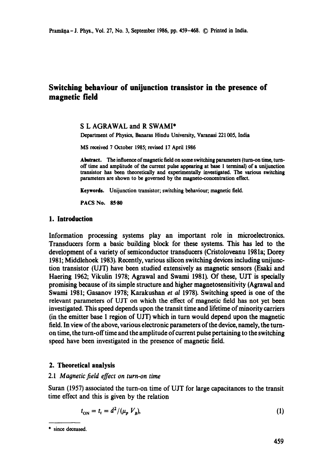# **Switching behaviour of unijunction transistor in the presence of magnetic field**

## S L AGRAWAL and R SWAMI\*

Department of Physics, Banaras Hindu University, Varanasi 221005, India

MS received 7 October 1985; revised 17 April 1986

**Abstract.** The influence of magnetic field on some switching parameters (turn-on time, turnoff time and amplitude of the current pulse appearing at base 1 terminal) of a unijunction transistor has been theoretically and experimentally investigated. The various switching parameters are shown to be governed by the magneto-concentration **effect.** 

Keywords. Unijunction transistor; switching behaviour; magnetic field.

**PACS No. 85.80** 

## **1. Introduction**

Information processing systems play an important role in microelectronics. Transducers form a basic building block for these systems. This has led to the development of a variety of semiconductor transducers (Cristoloveanu 1981a; Dorey 1981; Middlehoek 1983). Recently, various silicon switching devices including unijunction transistor (UJT) have been studied extensively as magnetic sensors (Esaki and Haering 1962; Vikulin 1978; Agrawal and Swami 1981). Of these, UJT is specially promising because of its simple structure and higher magnetosensitivity (Agrawal and Swami 1981; Gasanov 1978; Karakushan *et al* 1978). Switching speed is one of the relevant parameters of UJT on which the effect of magnetic field has not yet been investigated. This speed depends upon the transit time and lifetime of minority carriers (in the emitter base 1 region of UJT) which in turn would depend upon the magnetic field. In view of the above, various electronic parameters of the device, namely, the turnon time, the turn-offtime and the amplitude of current pulse pertaining to the switching speed have been investigated in the presence of magnetic field.

## **2. Theoretical analysis**

## 2.1 *Maonetic field effect on turn-on time*

Suran (1957) associated the turn-on time of UJT for large capacitances to the transit time effect and this is given by the relation

$$
t_{\rm ON} = t_{\rm t} = d^2 / (\mu_p \ V_{\rm g}),\tag{1}
$$

<sup>\*</sup> since deceased.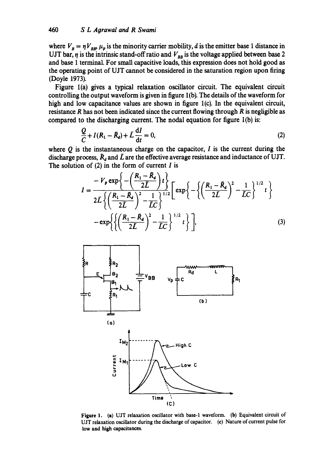where  $V_B = \eta V_{BB} \mu_p$  is the minority carrier mobility, d is the emitter base 1 distance in UJT bar,  $\eta$  is the intrinsic stand-off ratio and  $V_{BB}$  is the voltage applied between base 2 and base 1 terminal. For small capacitive loads, this expression does not hold good as the operating point of UJT cannot be considered in the saturation region upon firing (Doyle 1973).

Figure 1(a) gives a typical relaxation oscillator circuit. The equivalent circuit controlling the output waveform is given in figure 1(b). The details of the waveform for high and low capacitance values are shown in figure l(c). In the equivalent circuit, resistance R has not been indicated since the current flowing through R is negligible as compared to the discharging current. The nodal equation for figure 1(b) is:

$$
\frac{Q}{C} + I(R_1 - \bar{R}_d) + \bar{L}\frac{dI}{dt} = 0,
$$
\n(2)

where  $Q$  is the instantaneous charge on the capacitor,  $I$  is the current during the discharge process,  $\bar{R}_d$  and  $\bar{L}$  are the effective average resistance and inductance of UJT. The solution of  $(2)$  in the form of current I is

$$
I = \frac{-V_p \exp\left\{-\left(\frac{R_1 - \bar{R}_d}{2\bar{L}}\right)t\right\}}{2\bar{L}\left\{\left(\frac{R_1 - \bar{R}_d}{2\bar{L}}\right)^2 - \frac{1}{\bar{L}C}\right\}} \exp\left\{-\left\{\left(\frac{R_1 - \bar{R}_d}{2\bar{L}}\right)^2 - \frac{1}{\bar{L}C}\right\}^{1/2}t\right\}
$$

$$
-\exp\left\{\left\{\left(\frac{R_1 - \bar{R}_d}{2\bar{L}}\right)^2 - \frac{1}{\bar{L}C}\right\}^{1/2}t\right\},\tag{3}
$$



**Figure** 1. (a) UIT relaxation oscillator with base-I waveform. (b) Equivalent circuit of UJT relaxation oscillator during the discharge of capacitor. (e) Nature of current pulse for low and high capacitances.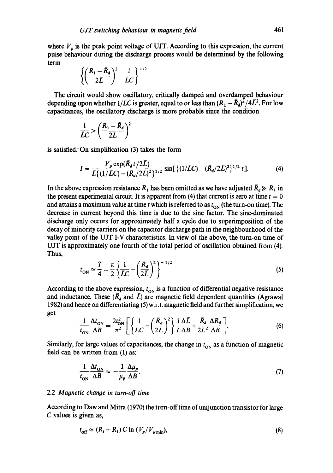where  $V_p$  is the peak point voltage of UJT. According to this expression, the current pulse behaviour during the discharge process would be determined by the following term

$$
\left\{\left(\frac{R_1-\bar{R}_d}{2\bar{L}}\right)^2-\frac{1}{\bar{L}C}\right\}^{1/2}
$$

The circuit would show oscillatory, critically damped and overdamped behaviour depending upon whether  $1/\bar{L}C$  is greater, equal to or less than  $(R_1 - \bar{R}_d)^2/4\bar{L}^2$ . For low capacitances, the oscillatory discharge is more probable since the condition

$$
\frac{1}{LC} > \left(\frac{R_1 - \bar{R}_d}{2\bar{L}}\right)^2
$$

is satisfied." On simplification (3) takes the form

$$
I = \frac{V_p \exp(\bar{R}_d t/2\bar{L})}{\bar{L}\{(1/\bar{L}C) - (\bar{R}_d/2\bar{L})^2\}^{1/2}} \sin[\{(1/\bar{L}C) - (\bar{R}_d/2\bar{L})^2\}^{1/2} t].
$$
 (4)

In the above expression resistance  $R_1$  has been omitted as we have adjusted  $\bar{R}_d \gg R_1$  in the present experimental circuit. It is apparent from (4) that current is zero at time  $t = 0$ and attains a maximum value at time t which is referred to as  $t_{ON}$  (the turn-on time). The decrease in current beyond this time is due to the sine factor. The sine-dominated discharge only occurs for approximately half a cycle due to superimposition of the decay of minority carriers on the capacitor discharge path in the neighbourhood of the valley point of the UJT I-V characteristics. In view of the above, the turn-on time of UJT is approximately one fourth of the total period of oscillation obtained from (4). Thus,

$$
t_{\rm ON} \simeq \frac{T}{4} = \frac{\pi}{2} \left\{ \frac{1}{\bar{L}C} - \left(\frac{\bar{R}_d}{2\bar{L}}\right)^2 \right\}^{-1/2}
$$
 (5)

According to the above expression,  $t_{ON}$  is a function of differential negative resistance and inductance. These  $(\tilde{R}_d$  and  $\tilde{L})$  are magnetic field dependent quantities (Agrawal 1982) and hence on differentiating (5) w.r.t, magnetic field and further simplification, we get

$$
\frac{1}{t_{\rm ON}}\frac{\Delta t_{\rm ON}}{\Delta B} = \frac{2t_{\rm ON}^2}{\pi^2} \left[ \left\{ \frac{1}{\bar{L}C} - \left( \frac{\bar{R}_d}{2\bar{L}} \right)^2 \right\} \frac{1}{\bar{L}\Delta B} + \frac{\bar{R}_d}{2\bar{L}^2} \frac{\Delta R_d}{\Delta B} \right].
$$
 (6)

Similarly, for large values of capacitances, the change in  $t_{ON}$  as a function of magnetic field can be written from (1) as:

$$
\frac{1}{t_{\rm ON}} \frac{\Delta t_{\rm ON}}{\Delta B} = -\frac{1}{\mu_p} \frac{\Delta \mu_p}{\Delta B}.
$$
 (7)

#### 2.2 *Magnetic change in turn-off time*

According to Daw and Mitra (1970) the turn-off time of unijunction transistor for large C values is given as,

$$
t_{\text{off}} \simeq (R_s + R_1) C \ln \left( \frac{V_p}{V_{\text{f}} - 1} \right),\tag{8}
$$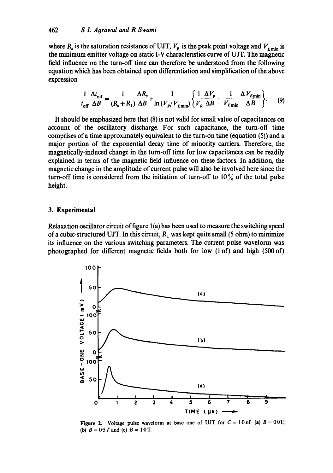where  $R_s$  is the saturation resistance of UJT,  $V_p$  is the peak point voltage and  $V_{E \text{ min}}$  is the minimum emitter voltage on static I-V characteristics curve of UJT. The magnetic field influence on the turn-off time can therefore be understood from the following equation which has been obtained upon differentiation and simplification of the above expression

$$
\frac{1}{t_{\rm off}}\frac{\Delta t_{\rm off}}{\Delta B} = \frac{1}{(R_{\rm s} + R_1)}\frac{\Delta R_{\rm s}}{\Delta B} + \frac{1}{\ln(V_p/V_{\rm mini}}) \left\{ \frac{1}{V_p} \frac{\Delta V_p}{\Delta B} - \frac{1}{V_{\rm mini}} \frac{\Delta V_{\rm mini}}{\Delta B} \right\}.
$$
 (9)

It should be emphasized here that (8) is not valid for small value of capacitances on account of the oscillatory discharge. For such capacitance, the turn-off time comprises of a time approximately equivalent to the turn-on time (equation (5)) and a major portion of the exponential decay time of minority carriers. Therefore, the magnetically-induced change in the turn-off time for low capacitances can be readily explained in terms of the magnetic field influence on these factors. In addition, the magnetic change in the amplitude of current pulse will also be involved here since the turn-off time is considered from the initiation of turn-off to  $10\%$  of the total pulse height.

## **3. Experimental**

Relaxation oscillator circuit of figure  $1(a)$  has been used to measure the switching speed of a cubic-structured UJT. In this circuit,  $R_1$  was kept quite small (5 ohm) to minimize its influence on the various switching parameters. The current pulse waveform was photographed for different magnetic fields both for low  $(1 \text{ n}f)$  and high  $(500 \text{ n}f)$ 



Figure 2. Voltage pulse waveform at base one of UJT for  $C = 1.0$  nf. (a)  $B = 0.0$ T; (b)  $B = 0.5T$  and (c)  $B = 1.0T$ .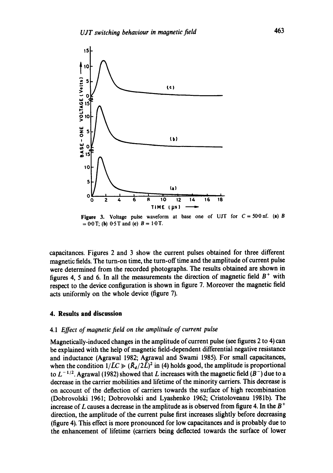

**Figure 3.** Voltage pulse waveform at base one of UJT for  $C = 50 \text{ onf.}$  (a) B  $= 0.0$  T; (b) 0.5 T and (c)  $B = 1.0$  T.

capacitances. Figures 2 and 3 show the current pulses obtained for three different magnetic fields. The turn-on time, the turn-off time and the amplitude of current pulse were determined from the recorded photographs. The results obtained are shown in figures 4, 5 and 6. In all the measurements the direction of magnetic field  $B^+$  with respect to the device configuration is shown in figure 7. Moreover the magnetic field acts uniformly on the whole device (figure 7).

#### **4. Results and discussion**

#### 4.1 *Effect of magnetic field on the amplitude of current pulse*

Magnetically-induced changes in the amplitude of current pulse (see figures 2 to 4) can be explained with the help of magnetic field-dependent differential negative resistance and inductance (Agrawai 1982; Agrawal and Swami 1985). For small capacitances, when the condition  $1/\bar{L}C \gg (\bar{R}_d/2\bar{L})^2$  in (4) holds good, the amplitude is proportional to  $L^{-1/2}$ . Agrawal (1982) showed that L increases with the magnetic field ( $B^-$ ) due to a decrease in the carrier mobilities and lifetime of the minority carriers. This decrease is on account of the deflection of carriers towards the surface of high recombination (Dobrovolski 1961; Dobrovolski and Lyashenko 1962; Cristoloveanu 1981b). The increase of L causes a decrease in the amplitude as is observed from figure 4. In the  $B^+$ direction, the amplitude of the current pulse first increases slightly before decreasing (figure 4). This effect is more pronounced for low capacitances and is probably due to the enhancement of lifetime (carriers being deflected towards the surface of lower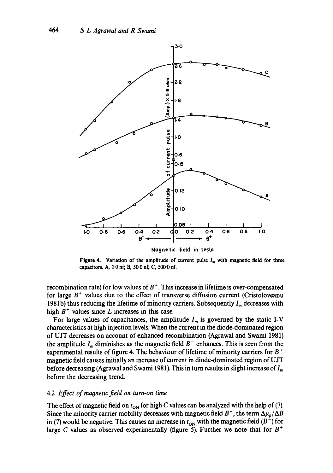

**Figure 4.** Variation of the amplitude of current pulse  $I_m$  with magnetic field for three capacitors. A, 1,0 nf; B, 50-0 nf; C, 500-0 nf.

recombination rate) for low values of  $B<sup>+</sup>$ . This increase in lifetime is over-compensated for large  $B<sup>+</sup>$  values due to the effect of transverse diffusion current (Cristoloveanu 1981b) thus reducing the lifetime of minority carriers. Subsequently  $I_m$  decreases with high  $B<sup>+</sup>$  values since L increases in this case.

For large values of capacitances, the amplitude  $I_m$  is governed by the static I-V characteristics at high injection levels. When the current in the diode-dominated region of UJT decreases on account of enhanced recombination (Agrawal and Swami 1981) the amplitude  $I_m$  diminishes as the magnetic field  $B^-$  enhances. This is seen from the experimental results of figure 4. The behaviour of lifetime of minority carriers for  $B^+$ magnetic field causes initially an increase of current in diode-dominated region of UJT before decreasing (Agrawal and Swami 1981). This in turn results in slight increase of  $I_m$ . before the decreasing trend.

#### 4.2 *Effect of maonetic field on turn-on time*

The effect of magnetic field on  $t_{ON}$  for high C values can be analyzed with the help of (7). Since the minority carrier mobility decreases with magnetic field  $B^-$ , the term  $\Delta\mu_p/\Delta B$ in (7) would be negative. This causes an increase in  $t_{ON}$  with the magnetic field ( $B^-$ ) for large C values as observed experimentally (figure 5). Further we note that for  $B^+$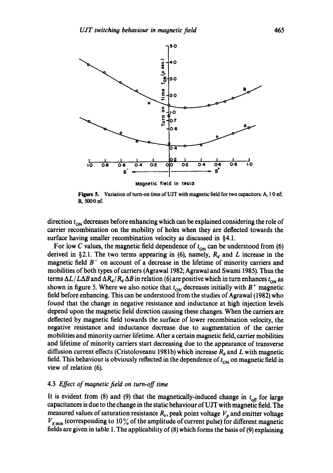

**Figure 5.** Variation of turn-on time of UJT with magnetic field for two capacitors. A, 1<sup>.</sup>0 nf; B, 500-0 nf.

direction  $t_{\rm ON}$  decreases before enhancing which can be explained considering the role of carrier recombination on the mobility of holes when they are deflected towards the surface having smaller recombination velocity as discussed in §4.1.

For low C values, the magnetic field dependence of  $t_{ON}$  can be understood from (6) derived in §2.1. The two terms appearing in (6), namely,  $R_d$  and L increase in the magnetic field  $B^-$  on account of a decrease in the lifetime of minority carriers and mobilities of both types of carriers (Agrawal 1982; Agrawal and Swami 1985). Thus the terms  $\Delta L/L\Delta B$  and  $\Delta R_d/R_d\Delta B$  in relation (6) are positive which in turn enhances  $t_{ON}$  as shown in figure 5. Where we also notice that  $t_{\text{ON}}$  decreases initially with  $B^+$  magnetic field before enhancing. This can be understood from the studies of Agrawal (1982) who found that the change in negative resistance and inductance at high injection levels depend upon the magnetic field direction causing these changes. When the carriers are deflected by magnetic field towards the surface of lower recombination velocity, the negative resistance and inductance decrease due to augmentation of the carrier mobilities and minority carrier lifetime. After a certain magnetic field, carrier mobilities and lifetime of minority carriers start decreasing due to the appearance of transverse diffusion current effects (Cristoloveanu 1981b) which increase  $R_d$  and L with magnetic field. This behaviour is obviously reflected in the dependence of  $t_{ON}$  on magnetic field in view of relation (6).

## 4.3 *Effect of magnetic field on turn-off time*

It is evident from (8) and (9) that the magnetically-induced change in  $t_{off}$  for large capacitances is due to the change in the static behaviour of UJT with magnetic field. The measured values of saturation resistance  $R_s$ , peak point voltage  $V_p$  and emitter voltage  $V_{\kappa_{\min}}$  (corresponding to 10% of the amplitude of current pulse) for different magnetic fields are given in table 1. The applicability of (8) which forms the basis of (9) explaining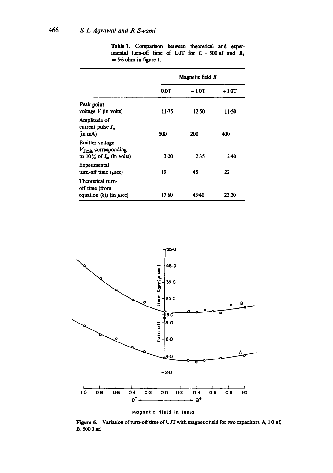|                                                                                      | Magnetic field B |       |        |
|--------------------------------------------------------------------------------------|------------------|-------|--------|
|                                                                                      | 0.0T             | –10T  | $+10T$ |
| Peak point<br>voltage $V$ (in volts)                                                 | $11 - 75$        | 12.50 | 11.50  |
| Amplitude of<br>current pulse $I_n$<br>$(in$ $mA)$                                   | 500              | 200   | 400    |
| Emitter voltage<br>$V_{E \text{min}}$ corresponding<br>to $10\%$ of $I_m$ (in volts) | 3.20             | 2.35  | $2-40$ |
| Experimental<br>turn-off time $(\mu \sec)$                                           | 19               | 45    | 22     |
| Theoretical turn-<br>off time (from<br>equation $(8)$ ) (in $\mu$ sec)               | 17.60            | 43.40 | 23.20  |

Table 1. Comparison between theoretical and experimental turn-off time of UJT for  $C = 500$  nf and  $R_1$  $= 5.6$  ohm in figure 1.



Figure 6. Variation of turn-off time of UJT with magnetic field for two capacitors. A, 1-0 nf; B, 500-0 nf.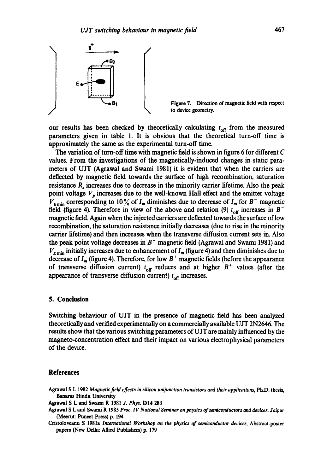

Figure 7. Direction of magnetic field with respect to device geometry.

our results has been checked by theoretically calculating  $t_{\text{off}}$  from the measured parameters given in table 1. It is obvious that the theoretical turn-off time is approximately the same as the experimental turn-off time.

The variation of turn-off time with magnetic field is shown in figure 6 for different  $C$ values. From the investigations of the magnetically-induced changes in static parameters of UJT (Agrawal and Swami 1981) it is evident that when the carriers are deflected by magnetic field towards the surface of high recombination, saturation resistance R<sub>r</sub> increases due to decrease in the minority carrier lifetime. Also the peak point voltage  $V_p$  increases due to the well-known Hall effect and the emitter voltage  $V_{\text{Fmin}}$  corresponding to 10% of  $I_m$  diminishes due to decrease of  $I_m$  for  $B^-$  magnetic field (figure 4). Therefore in view of the above and relation (9)  $t_{off}$  increases in  $B^$ magnetic field. Again when the injected carriers are deflected towards the surface of low recombination, the saturation resistance initially decreases (due to rise in the minority carrier lifetime) and then increases when the transverse diffusion current sets in. Also the peak point voltage decreases in  $B<sup>+</sup>$  magnetic field (Agrawal and Swami 1981) and  $V_{E_{\text{min}}}$  initially increases due to enhancement of  $I_m$  (figure 4) and then diminishes due to decrease of  $I_m$  (figure 4). Therefore, for low  $B^+$  magnetic fields (before the appearance of transverse diffusion current)  $t_{off}$  reduces and at higher  $B^+$  values (after the appearance of transverse diffusion current)  $t_{\text{off}}$  increases.

# **5. Conclusion**

Switching behaviour of UJT in the presence of magnetic field has been analyzed theoretically and verified experimentally on a commercially available UJT *2N2646.* The results show that the various switching parameters of UJT are mainly influenced by the magneto-concentration effect and their impact on various electrophysical parameters of the device.

#### **References**

Agrawal S L 1982 *Magnetic field effects in silicon unijunction transistors and their applications,* Ph.D. thesis, Banaras Hindu University

- Agrawal S L and Swami R 1981 *J. Phys.* DI4 283
- Agrawal S L and Swami R 1985 *Prec. I V National Seminar on physics of semiconductors and devices. Jaipur*  (Meerut: Puneet Press) p. 194

Cristoloveanu S 1981a *International Workshop on the physics of semiconductor devices,* Abstract-poster papers (New Delhi: Allied Publishers) p, 179